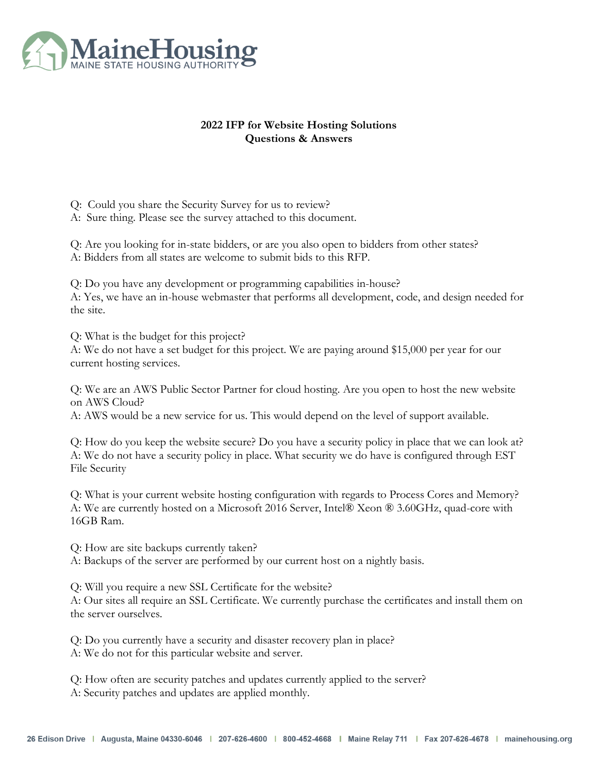

### **2022 IFP for Website Hosting Solutions Questions & Answers**

Q: Could you share the Security Survey for us to review? A: Sure thing. Please see the survey attached to this document.

Q: Are you looking for in-state bidders, or are you also open to bidders from other states? A: Bidders from all states are welcome to submit bids to this RFP.

Q: Do you have any development or programming capabilities in-house? A: Yes, we have an in-house webmaster that performs all development, code, and design needed for the site.

Q: What is the budget for this project?

A: We do not have a set budget for this project. We are paying around \$15,000 per year for our current hosting services.

Q: We are an AWS Public Sector Partner for cloud hosting. Are you open to host the new website on AWS Cloud?

A: AWS would be a new service for us. This would depend on the level of support available.

Q: How do you keep the website secure? Do you have a security policy in place that we can look at? A: We do not have a security policy in place. What security we do have is configured through EST File Security

Q: What is your current website hosting configuration with regards to Process Cores and Memory? A: We are currently hosted on a Microsoft 2016 Server, Intel® Xeon ® 3.60GHz, quad-core with 16GB Ram.

Q: How are site backups currently taken? A: Backups of the server are performed by our current host on a nightly basis.

Q: Will you require a new SSL Certificate for the website?

A: Our sites all require an SSL Certificate. We currently purchase the certificates and install them on the server ourselves.

Q: Do you currently have a security and disaster recovery plan in place? A: We do not for this particular website and server.

Q: How often are security patches and updates currently applied to the server? A: Security patches and updates are applied monthly.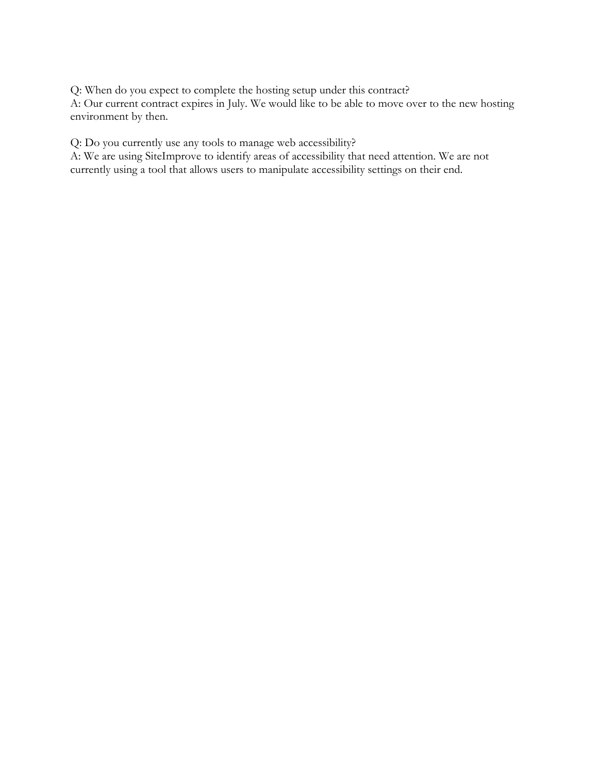Q: When do you expect to complete the hosting setup under this contract?

A: Our current contract expires in July. We would like to be able to move over to the new hosting environment by then.

Q: Do you currently use any tools to manage web accessibility?

A: We are using SiteImprove to identify areas of accessibility that need attention. We are not currently using a tool that allows users to manipulate accessibility settings on their end.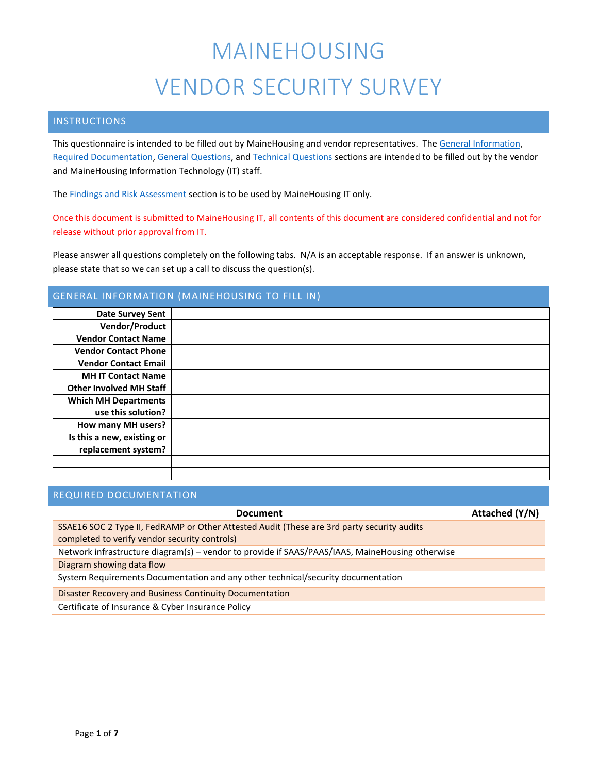#### INSTRUCTIONS

This questionnaire is intended to be filled out by MaineHousing and vendor representatives. The General [Information,](#page-2-0) [Required Documentation,](#page-2-1) [General Questions,](#page-3-0) and [Technical Questions](#page-5-0) sections are intended to be filled out by the vendor and MaineHousing Information Technology (IT) staff.

The **Findings [and Risk Assessment](#page-8-0)** section is to be used by MaineHousing IT only.

Once this document is submitted to MaineHousing IT, all contents of this document are considered confidential and not for release without prior approval from IT.

Please answer all questions completely on the following tabs. N/A is an acceptable response. If an answer is unknown, please state that so we can set up a call to discuss the question(s).

#### <span id="page-2-0"></span>GENERAL INFORMATION (MAINEHOUSING TO FILL IN)

| <b>Date Survey Sent</b>        |  |
|--------------------------------|--|
| Vendor/Product                 |  |
| <b>Vendor Contact Name</b>     |  |
| <b>Vendor Contact Phone</b>    |  |
| <b>Vendor Contact Email</b>    |  |
| <b>MH IT Contact Name</b>      |  |
| <b>Other Involved MH Staff</b> |  |
| <b>Which MH Departments</b>    |  |
| use this solution?             |  |
| How many MH users?             |  |
| Is this a new, existing or     |  |
| replacement system?            |  |
|                                |  |
|                                |  |

#### <span id="page-2-1"></span>REQUIRED DOCUMENTATION

| <b>Document</b>                                                                                 | Attached (Y/N) |  |
|-------------------------------------------------------------------------------------------------|----------------|--|
| SSAE16 SOC 2 Type II, FedRAMP or Other Attested Audit (These are 3rd party security audits      |                |  |
| completed to verify vendor security controls)                                                   |                |  |
| Network infrastructure diagram(s) - vendor to provide if SAAS/PAAS/IAAS, MaineHousing otherwise |                |  |
| Diagram showing data flow                                                                       |                |  |
| System Requirements Documentation and any other technical/security documentation                |                |  |
| <b>Disaster Recovery and Business Continuity Documentation</b>                                  |                |  |
| Certificate of Insurance & Cyber Insurance Policy                                               |                |  |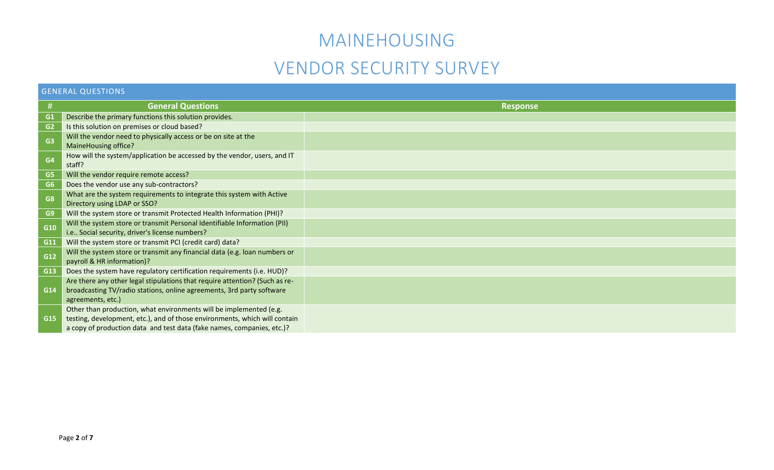### MAINEHOUSING

### VENDOR SECURITY SURVEY

<span id="page-3-0"></span>

|                | <b>GENERAL QUESTIONS</b>                                                                                                                                                                                                   |                 |  |  |  |
|----------------|----------------------------------------------------------------------------------------------------------------------------------------------------------------------------------------------------------------------------|-----------------|--|--|--|
| #              | <b>General Questions</b>                                                                                                                                                                                                   | <b>Response</b> |  |  |  |
| G1             | Describe the primary functions this solution provides.                                                                                                                                                                     |                 |  |  |  |
| G2             | Is this solution on premises or cloud based?                                                                                                                                                                               |                 |  |  |  |
| G <sub>3</sub> | Will the vendor need to physically access or be on site at the<br>MaineHousing office?                                                                                                                                     |                 |  |  |  |
| G <sub>4</sub> | How will the system/application be accessed by the vendor, users, and IT<br>staff?                                                                                                                                         |                 |  |  |  |
| G <sub>5</sub> | Will the vendor require remote access?                                                                                                                                                                                     |                 |  |  |  |
| G <sub>6</sub> | Does the vendor use any sub-contractors?                                                                                                                                                                                   |                 |  |  |  |
| G <sub>8</sub> | What are the system requirements to integrate this system with Active<br>Directory using LDAP or SSO?                                                                                                                      |                 |  |  |  |
| G <sub>9</sub> | Will the system store or transmit Protected Health Information (PHI)?                                                                                                                                                      |                 |  |  |  |
| G10            | Will the system store or transmit Personal Identifiable Information (PII)<br>i.e Social security, driver's license numbers?                                                                                                |                 |  |  |  |
| G11            | Will the system store or transmit PCI (credit card) data?                                                                                                                                                                  |                 |  |  |  |
| G12            | Will the system store or transmit any financial data (e.g. loan numbers or<br>payroll & HR information)?                                                                                                                   |                 |  |  |  |
| G13            | Does the system have regulatory certification requirements (i.e. HUD)?                                                                                                                                                     |                 |  |  |  |
| G14            | Are there any other legal stipulations that require attention? (Such as re-<br>broadcasting TV/radio stations, online agreements, 3rd party software<br>agreements, etc.)                                                  |                 |  |  |  |
| G15            | Other than production, what environments will be implemented (e.g.<br>testing, development, etc.), and of those environments, which will contain<br>a copy of production data and test data (fake names, companies, etc.)? |                 |  |  |  |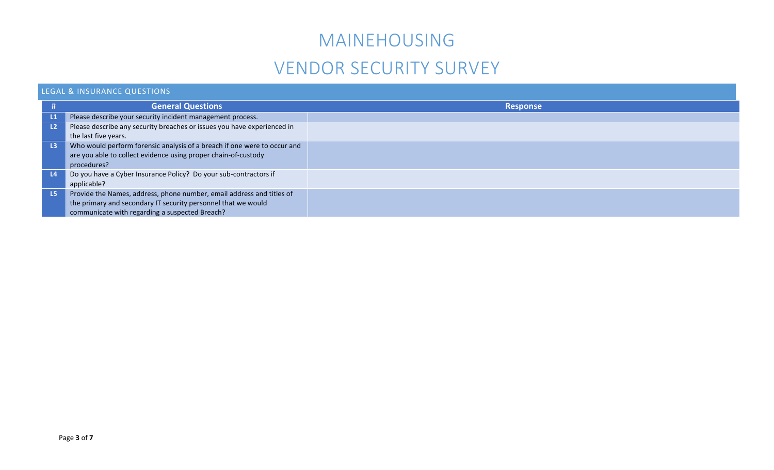## MAINEHOUSING

## VENDOR SECURITY SURVEY

### LEGAL & INSURANCE QUESTIONS

|                | <b>General Questions</b>                                                 | <b>Response</b> |
|----------------|--------------------------------------------------------------------------|-----------------|
| $\mathsf{L}1$  | Please describe your security incident management process.               |                 |
| L <sub>2</sub> | Please describe any security breaches or issues you have experienced in  |                 |
|                | the last five years.                                                     |                 |
| L <sub>3</sub> | Who would perform forensic analysis of a breach if one were to occur and |                 |
|                | are you able to collect evidence using proper chain-of-custody           |                 |
|                | procedures?                                                              |                 |
| $\mathsf{L}4$  | Do you have a Cyber Insurance Policy? Do your sub-contractors if         |                 |
|                | applicable?                                                              |                 |
| L5             | Provide the Names, address, phone number, email address and titles of    |                 |
|                | the primary and secondary IT security personnel that we would            |                 |
|                | communicate with regarding a suspected Breach?                           |                 |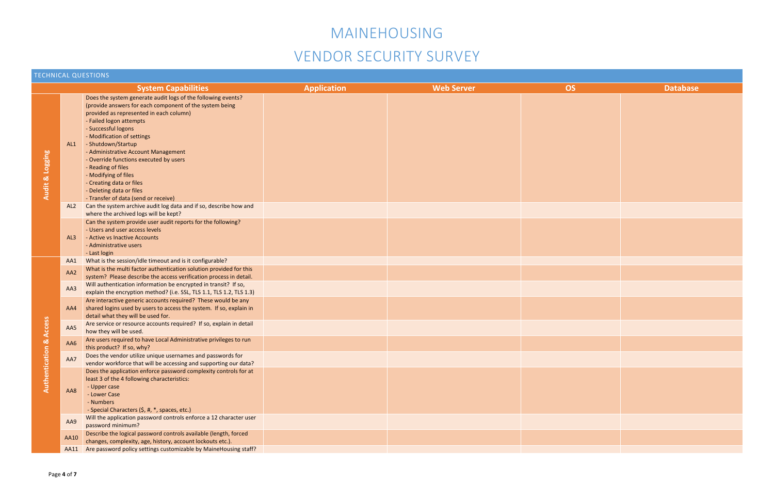<span id="page-5-0"></span>

| <b>TECHNICAL QUESTIONS</b> |                                                                                                       |                                                                                                                                                                                                                                                                                                                                                                                                                                                                                                         |  |  |  |  |
|----------------------------|-------------------------------------------------------------------------------------------------------|---------------------------------------------------------------------------------------------------------------------------------------------------------------------------------------------------------------------------------------------------------------------------------------------------------------------------------------------------------------------------------------------------------------------------------------------------------------------------------------------------------|--|--|--|--|
|                            | <b>System Capabilities</b><br><b>Application</b><br><b>Web Server</b><br><b>OS</b><br><b>Database</b> |                                                                                                                                                                                                                                                                                                                                                                                                                                                                                                         |  |  |  |  |
| <b>Audit &amp; Logging</b> | AL1                                                                                                   | Does the system generate audit logs of the following events?<br>(provide answers for each component of the system being<br>provided as represented in each column)<br>- Failed logon attempts<br>- Successful logons<br>- Modification of settings<br>- Shutdown/Startup<br>- Administrative Account Management<br>- Override functions executed by users<br>- Reading of files<br>- Modifying of files<br>- Creating data or files<br>- Deleting data or files<br>- Transfer of data (send or receive) |  |  |  |  |
|                            |                                                                                                       | AL2 Can the system archive audit log data and if so, describe how and<br>where the archived logs will be kept?                                                                                                                                                                                                                                                                                                                                                                                          |  |  |  |  |
|                            | AL <sub>3</sub>                                                                                       | Can the system provide user audit reports for the following?<br>- Users and user access levels<br>- Active vs Inactive Accounts<br>- Administrative users<br>- Last login                                                                                                                                                                                                                                                                                                                               |  |  |  |  |
|                            | AA1                                                                                                   | What is the session/idle timeout and is it configurable?                                                                                                                                                                                                                                                                                                                                                                                                                                                |  |  |  |  |
|                            | AA2                                                                                                   | What is the multi factor authentication solution provided for this<br>system? Please describe the access verification process in detail.                                                                                                                                                                                                                                                                                                                                                                |  |  |  |  |
|                            | AA3                                                                                                   | Will authentication information be encrypted in transit? If so,<br>explain the encryption method? (i.e. SSL, TLS 1.1, TLS 1.2, TLS 1.3)                                                                                                                                                                                                                                                                                                                                                                 |  |  |  |  |
| Access                     | AA4                                                                                                   | Are interactive generic accounts required? These would be any<br>shared logins used by users to access the system. If so, explain in<br>detail what they will be used for.                                                                                                                                                                                                                                                                                                                              |  |  |  |  |
|                            | AA5                                                                                                   | Are service or resource accounts required? If so, explain in detail<br>how they will be used.                                                                                                                                                                                                                                                                                                                                                                                                           |  |  |  |  |
| $\infty$<br>$\simeq$       | AA6                                                                                                   | Are users required to have Local Administrative privileges to run<br>this product? If so, why?                                                                                                                                                                                                                                                                                                                                                                                                          |  |  |  |  |
| Authenticat                | AA7                                                                                                   | Does the vendor utilize unique usernames and passwords for<br>vendor workforce that will be accessing and supporting our data?                                                                                                                                                                                                                                                                                                                                                                          |  |  |  |  |
|                            | AA8                                                                                                   | Does the application enforce password complexity controls for at<br>least 3 of the 4 following characteristics:<br>- Upper case<br>- Lower Case<br>- Numbers<br>- Special Characters (\$, #, *, spaces, etc.)                                                                                                                                                                                                                                                                                           |  |  |  |  |
|                            | AA9                                                                                                   | Will the application password controls enforce a 12 character user<br>password minimum?                                                                                                                                                                                                                                                                                                                                                                                                                 |  |  |  |  |
|                            | <b>AA10</b>                                                                                           | Describe the logical password controls available (length, forced<br>changes, complexity, age, history, account lockouts etc.).                                                                                                                                                                                                                                                                                                                                                                          |  |  |  |  |
|                            |                                                                                                       | AA11 Are password policy settings customizable by MaineHousing staff?                                                                                                                                                                                                                                                                                                                                                                                                                                   |  |  |  |  |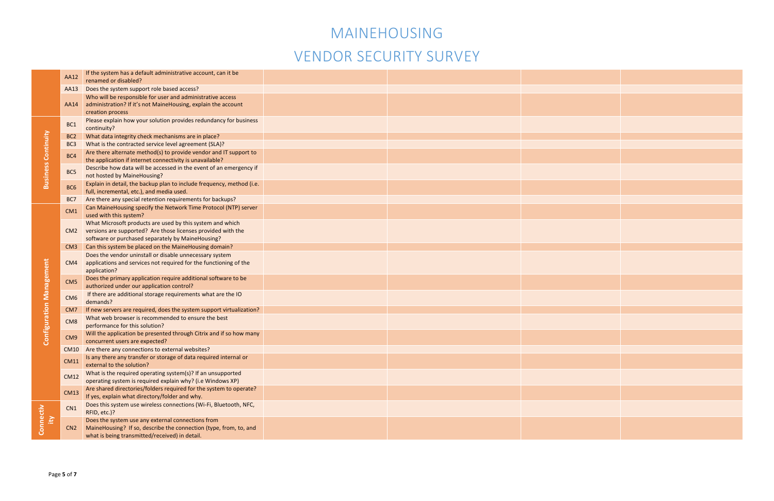

|                                 | AA12            | If the system has a default administrative account, can it be                                                               |  |  |
|---------------------------------|-----------------|-----------------------------------------------------------------------------------------------------------------------------|--|--|
|                                 |                 | renamed or disabled?                                                                                                        |  |  |
|                                 | AA13            | Does the system support role based access?                                                                                  |  |  |
|                                 | AA14            | Who will be responsible for user and administrative access<br>administration? If it's not MaineHousing, explain the account |  |  |
|                                 |                 | creation process                                                                                                            |  |  |
|                                 |                 | Please explain how your solution provides redundancy for business                                                           |  |  |
|                                 | BC1             | continuity?                                                                                                                 |  |  |
|                                 | BC <sub>2</sub> | What data integrity check mechanisms are in place?                                                                          |  |  |
|                                 | BC <sub>3</sub> | What is the contracted service level agreement (SLA)?                                                                       |  |  |
| <b>Business Continuity</b>      |                 | Are there alternate method(s) to provide vendor and IT support to                                                           |  |  |
|                                 | BC4             | the application if internet connectivity is unavailable?                                                                    |  |  |
|                                 |                 | Describe how data will be accessed in the event of an emergency if                                                          |  |  |
|                                 | BC5             | not hosted by MaineHousing?                                                                                                 |  |  |
|                                 | BC <sub>6</sub> | Explain in detail, the backup plan to include frequency, method (i.e.                                                       |  |  |
|                                 |                 | full, incremental, etc.), and media used.                                                                                   |  |  |
|                                 | BC7             | Are there any special retention requirements for backups?                                                                   |  |  |
|                                 | CM1             | Can MaineHousing specify the Network Time Protocol (NTP) server                                                             |  |  |
|                                 |                 | used with this system?                                                                                                      |  |  |
|                                 |                 | What Microsoft products are used by this system and which<br>versions are supported? Are those licenses provided with the   |  |  |
|                                 | CM2             | software or purchased separately by MaineHousing?                                                                           |  |  |
|                                 | CM <sub>3</sub> | Can this system be placed on the MaineHousing domain?                                                                       |  |  |
|                                 |                 | Does the vendor uninstall or disable unnecessary system                                                                     |  |  |
|                                 | CM4             | applications and services not required for the functioning of the                                                           |  |  |
|                                 |                 | application?                                                                                                                |  |  |
| <b>Configuration Management</b> | CM <sub>5</sub> | Does the primary application require additional software to be                                                              |  |  |
|                                 |                 | authorized under our application control?                                                                                   |  |  |
|                                 | CM <sub>6</sub> | If there are additional storage requirements what are the IO                                                                |  |  |
|                                 |                 | demands?                                                                                                                    |  |  |
|                                 | CM <sub>7</sub> | If new servers are required, does the system support virtualization?                                                        |  |  |
|                                 | CM <sub>8</sub> | What web browser is recommended to ensure the best<br>performance for this solution?                                        |  |  |
|                                 |                 | Will the application be presented through Citrix and if so how many                                                         |  |  |
|                                 | CM <sub>9</sub> | concurrent users are expected?                                                                                              |  |  |
|                                 |                 | CM10 Are there any connections to external websites?                                                                        |  |  |
|                                 |                 | Is any there any transfer or storage of data required internal or                                                           |  |  |
|                                 | <b>CM11</b>     | external to the solution?                                                                                                   |  |  |
|                                 | <b>CM12</b>     | What is the required operating system(s)? If an unsupported                                                                 |  |  |
|                                 |                 | operating system is required explain why? (i.e Windows XP)                                                                  |  |  |
|                                 | <b>CM13</b>     | Are shared directories/folders required for the system to operate?                                                          |  |  |
|                                 |                 | If yes, explain what directory/folder and why.                                                                              |  |  |
|                                 | CN1             | Does this system use wireless connections (Wi-Fi, Bluetooth, NFC,                                                           |  |  |
|                                 |                 | RFID, etc.)?                                                                                                                |  |  |
| Connectiv<br>Έy                 | CN <sub>2</sub> | Does the system use any external connections from<br>MaineHousing? If so, describe the connection (type, from, to, and      |  |  |
|                                 |                 | what is being transmitted/received) in detail.                                                                              |  |  |
|                                 |                 |                                                                                                                             |  |  |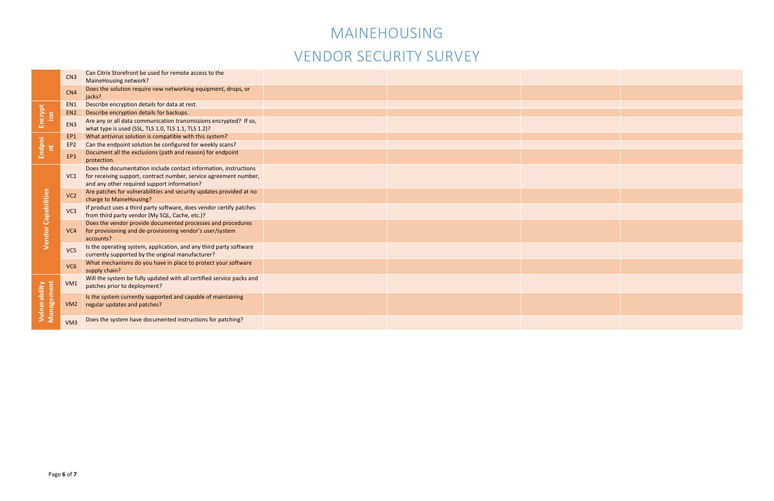

|                                    | CN3             | Can Citrix Storefront be used for remote access to the                                                                                                                               |  |  |
|------------------------------------|-----------------|--------------------------------------------------------------------------------------------------------------------------------------------------------------------------------------|--|--|
|                                    |                 | MaineHousing network?                                                                                                                                                                |  |  |
|                                    | CN4             | Does the solution require new networking equipment, drops, or<br>jacks?                                                                                                              |  |  |
| Encrypt<br>S.                      | EN1             | Describe encryption details for data at rest.                                                                                                                                        |  |  |
|                                    | EN <sub>2</sub> | Describe encryption details for backups.                                                                                                                                             |  |  |
|                                    | EN <sub>3</sub> | Are any or all data communication transmissions encrypted? If so,<br>what type is used (SSL, TLS 1.0, TLS 1.1, TLS 1.2)?                                                             |  |  |
|                                    | EP1             | What antivirus solution is compatible with this system?                                                                                                                              |  |  |
|                                    | EP <sub>2</sub> | Can the endpoint solution be configured for weekly scans?                                                                                                                            |  |  |
| Endpoi<br>nt                       | EP3             | Document all the exclusions (path and reason) for endpoint<br>protection.                                                                                                            |  |  |
|                                    | VC1             | Does the documentation include contact information, instructions<br>for receiving support, contract number, service agreement number,<br>and any other required support information? |  |  |
|                                    | VC <sub>2</sub> | Are patches for vulnerabilities and security updates provided at no<br>charge to MaineHousing?                                                                                       |  |  |
|                                    | VC3             | If product uses a third party software, does vendor certify patches<br>from third party vendor (My SQL, Cache, etc.)?                                                                |  |  |
| <b>Vendor Capabilities</b>         | VC <sub>4</sub> | Does the vendor provide documented processes and procedures<br>for provisioning and de-provisioning vendor's user/system<br>accounts?                                                |  |  |
|                                    | VC <sub>5</sub> | Is the operating system, application, and any third party software<br>currently supported by the original manufacturer?                                                              |  |  |
|                                    | VC6             | What mechanisms do you have in place to protect your software<br>supply chain?                                                                                                       |  |  |
| Management<br><b>Vulnerability</b> | VM1             | Will the system be fully updated with all certified service packs and<br>patches prior to deployment?                                                                                |  |  |
|                                    | VM2             | Is the system currently supported and capable of maintaining<br>regular updates and patches?                                                                                         |  |  |
|                                    | VM3             | Does the system have documented instructions for patching?                                                                                                                           |  |  |